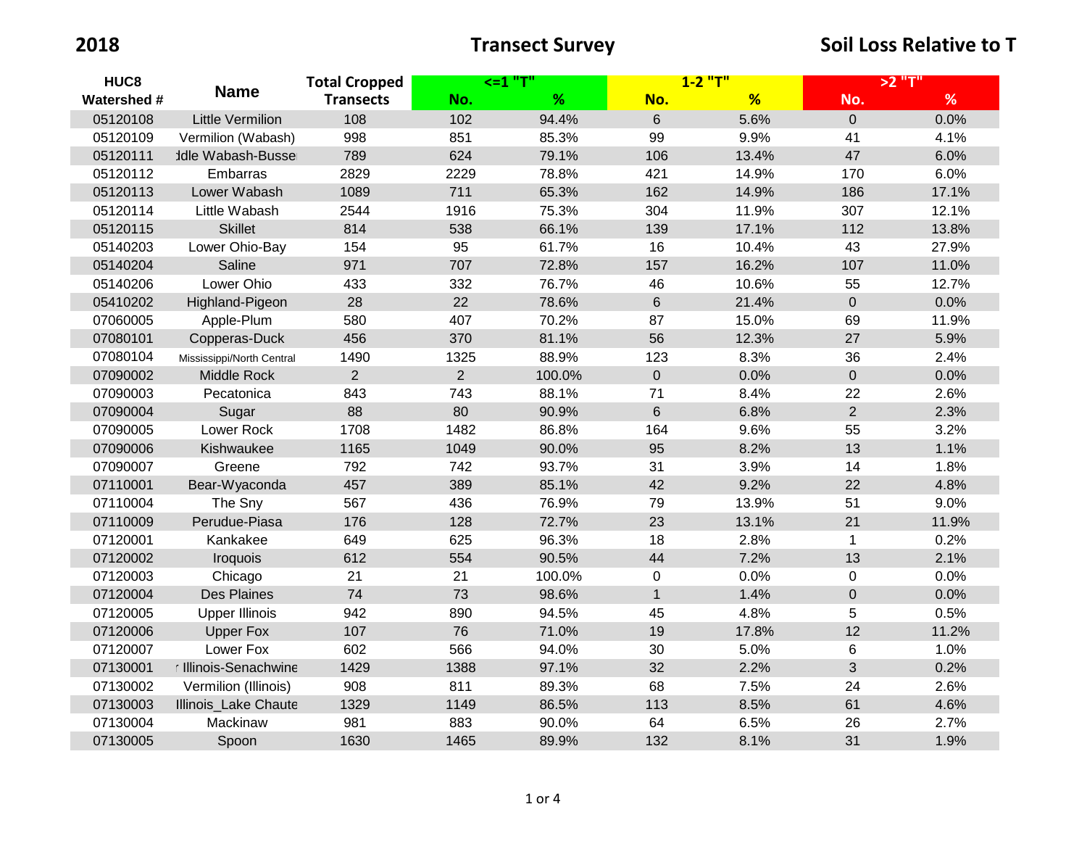| HUC <sub>8</sub><br>Watershed # | <b>Name</b>               | <b>Total Cropped</b><br><b>Transects</b> | <=1 "T"        |        | $1 - 2$ "T"    |       | >2 "T"         |       |
|---------------------------------|---------------------------|------------------------------------------|----------------|--------|----------------|-------|----------------|-------|
|                                 |                           |                                          | No.            | %      | No.            | %     | No.            | %     |
| 05120108                        | <b>Little Vermilion</b>   | 108                                      | 102            | 94.4%  | $6\phantom{1}$ | 5.6%  | $\overline{0}$ | 0.0%  |
| 05120109                        | Vermilion (Wabash)        | 998                                      | 851            | 85.3%  | 99             | 9.9%  | 41             | 4.1%  |
| 05120111                        | <b>Idle Wabash-Bussel</b> | 789                                      | 624            | 79.1%  | 106            | 13.4% | 47             | 6.0%  |
| 05120112                        | Embarras                  | 2829                                     | 2229           | 78.8%  | 421            | 14.9% | 170            | 6.0%  |
| 05120113                        | Lower Wabash              | 1089                                     | 711            | 65.3%  | 162            | 14.9% | 186            | 17.1% |
| 05120114                        | Little Wabash             | 2544                                     | 1916           | 75.3%  | 304            | 11.9% | 307            | 12.1% |
| 05120115                        | <b>Skillet</b>            | 814                                      | 538            | 66.1%  | 139            | 17.1% | 112            | 13.8% |
| 05140203                        | Lower Ohio-Bay            | 154                                      | 95             | 61.7%  | 16             | 10.4% | 43             | 27.9% |
| 05140204                        | Saline                    | 971                                      | 707            | 72.8%  | 157            | 16.2% | 107            | 11.0% |
| 05140206                        | Lower Ohio                | 433                                      | 332            | 76.7%  | 46             | 10.6% | 55             | 12.7% |
| 05410202                        | Highland-Pigeon           | 28                                       | 22             | 78.6%  | $6\,$          | 21.4% | $\overline{0}$ | 0.0%  |
| 07060005                        | Apple-Plum                | 580                                      | 407            | 70.2%  | 87             | 15.0% | 69             | 11.9% |
| 07080101                        | Copperas-Duck             | 456                                      | 370            | 81.1%  | 56             | 12.3% | 27             | 5.9%  |
| 07080104                        | Mississippi/North Central | 1490                                     | 1325           | 88.9%  | 123            | 8.3%  | 36             | 2.4%  |
| 07090002                        | Middle Rock               | 2                                        | $\overline{2}$ | 100.0% | $\mathbf 0$    | 0.0%  | $\mathbf{0}$   | 0.0%  |
| 07090003                        | Pecatonica                | 843                                      | 743            | 88.1%  | 71             | 8.4%  | 22             | 2.6%  |
| 07090004                        | Sugar                     | 88                                       | 80             | 90.9%  | $\,6\,$        | 6.8%  | 2              | 2.3%  |
| 07090005                        | Lower Rock                | 1708                                     | 1482           | 86.8%  | 164            | 9.6%  | 55             | 3.2%  |
| 07090006                        | Kishwaukee                | 1165                                     | 1049           | 90.0%  | 95             | 8.2%  | 13             | 1.1%  |
| 07090007                        | Greene                    | 792                                      | 742            | 93.7%  | 31             | 3.9%  | 14             | 1.8%  |
| 07110001                        | Bear-Wyaconda             | 457                                      | 389            | 85.1%  | 42             | 9.2%  | 22             | 4.8%  |
| 07110004                        | The Sny                   | 567                                      | 436            | 76.9%  | 79             | 13.9% | 51             | 9.0%  |
| 07110009                        | Perudue-Piasa             | 176                                      | 128            | 72.7%  | 23             | 13.1% | 21             | 11.9% |
| 07120001                        | Kankakee                  | 649                                      | 625            | 96.3%  | 18             | 2.8%  | $\mathbf{1}$   | 0.2%  |
| 07120002                        | Iroquois                  | 612                                      | 554            | 90.5%  | 44             | 7.2%  | 13             | 2.1%  |
| 07120003                        | Chicago                   | 21                                       | 21             | 100.0% | 0              | 0.0%  | 0              | 0.0%  |
| 07120004                        | <b>Des Plaines</b>        | 74                                       | 73             | 98.6%  | $\mathbf{1}$   | 1.4%  | $\mathbf 0$    | 0.0%  |
| 07120005                        | <b>Upper Illinois</b>     | 942                                      | 890            | 94.5%  | 45             | 4.8%  | 5              | 0.5%  |
| 07120006                        | <b>Upper Fox</b>          | 107                                      | 76             | 71.0%  | 19             | 17.8% | 12             | 11.2% |
| 07120007                        | Lower Fox                 | 602                                      | 566            | 94.0%  | 30             | 5.0%  | 6              | 1.0%  |
| 07130001                        | r Illinois-Senachwine     | 1429                                     | 1388           | 97.1%  | 32             | 2.2%  | 3              | 0.2%  |
| 07130002                        | Vermilion (Illinois)      | 908                                      | 811            | 89.3%  | 68             | 7.5%  | 24             | 2.6%  |
| 07130003                        | Illinois_Lake Chaute      | 1329                                     | 1149           | 86.5%  | 113            | 8.5%  | 61             | 4.6%  |
| 07130004                        | Mackinaw                  | 981                                      | 883            | 90.0%  | 64             | 6.5%  | 26             | 2.7%  |
| 07130005                        | Spoon                     | 1630                                     | 1465           | 89.9%  | 132            | 8.1%  | 31             | 1.9%  |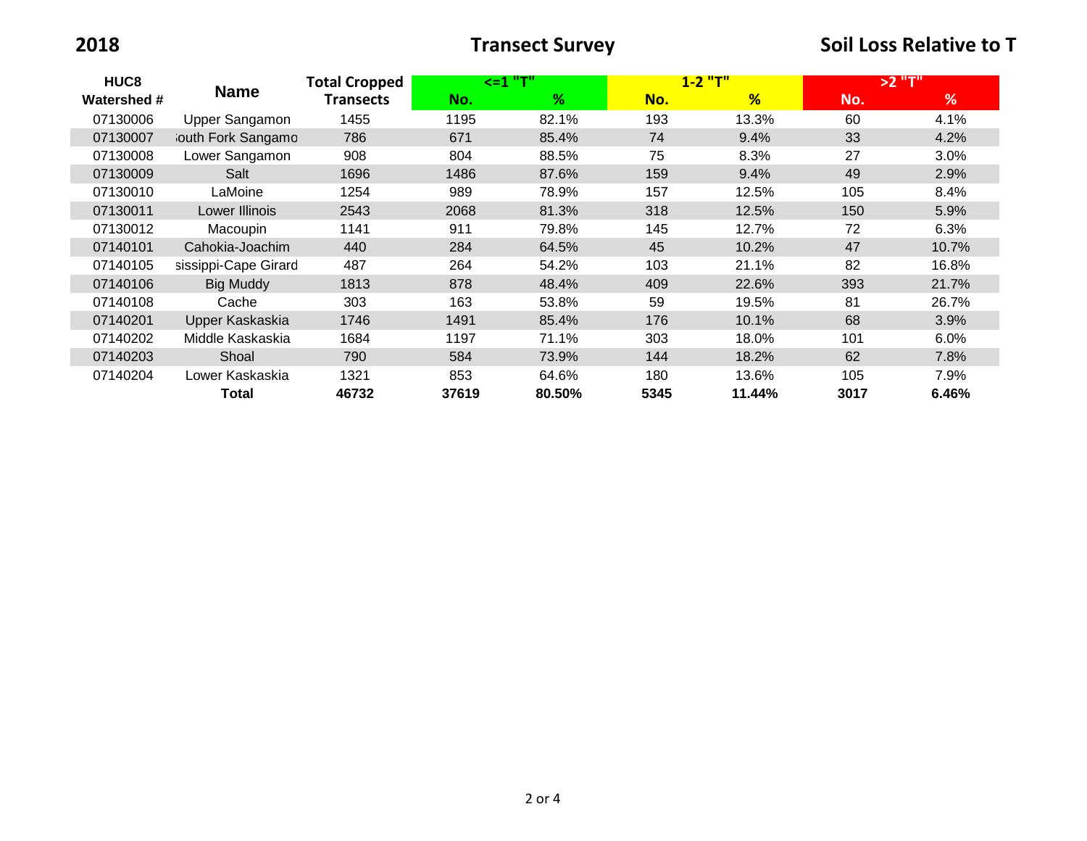**12018 12018 12018 12018 12018 12018 12018 12018 12018 12018 12018 12018 12018 12018 12018 12018 12018 12018 12018 12018 12018 12018 12018 12018 12018 12018 12018** 

| HUC8<br><b>Watershed #</b> | <b>Name</b>          | <b>Total Cropped</b><br>Transects | $\leq$ = 1 "T" |        | $1 - 2$ "T" |        | $>2$ "T" |         |
|----------------------------|----------------------|-----------------------------------|----------------|--------|-------------|--------|----------|---------|
|                            |                      |                                   | No.            | %      | No.         | %      | No.      | %       |
| 07130006                   | Upper Sangamon       | 1455                              | 1195           | 82.1%  | 193         | 13.3%  | 60       | 4.1%    |
| 07130007                   | louth Fork Sangamo   | 786                               | 671            | 85.4%  | 74          | 9.4%   | 33       | 4.2%    |
| 07130008                   | Lower Sangamon       | 908                               | 804            | 88.5%  | 75          | 8.3%   | 27       | $3.0\%$ |
| 07130009                   | Salt                 | 1696                              | 1486           | 87.6%  | 159         | 9.4%   | 49       | 2.9%    |
| 07130010                   | LaMoine              | 1254                              | 989            | 78.9%  | 157         | 12.5%  | 105      | 8.4%    |
| 07130011                   | Lower Illinois       | 2543                              | 2068           | 81.3%  | 318         | 12.5%  | 150      | 5.9%    |
| 07130012                   | Macoupin             | 1141                              | 911            | 79.8%  | 145         | 12.7%  | 72       | 6.3%    |
| 07140101                   | Cahokia-Joachim      | 440                               | 284            | 64.5%  | 45          | 10.2%  | 47       | 10.7%   |
| 07140105                   | sissippi-Cape Girard | 487                               | 264            | 54.2%  | 103         | 21.1%  | 82       | 16.8%   |
| 07140106                   | <b>Big Muddy</b>     | 1813                              | 878            | 48.4%  | 409         | 22.6%  | 393      | 21.7%   |
| 07140108                   | Cache                | 303                               | 163            | 53.8%  | 59          | 19.5%  | 81       | 26.7%   |
| 07140201                   | Upper Kaskaskia      | 1746                              | 1491           | 85.4%  | 176         | 10.1%  | 68       | 3.9%    |
| 07140202                   | Middle Kaskaskia     | 1684                              | 1197           | 71.1%  | 303         | 18.0%  | 101      | 6.0%    |
| 07140203                   | Shoal                | 790                               | 584            | 73.9%  | 144         | 18.2%  | 62       | 7.8%    |
| 07140204                   | Lower Kaskaskia      | 1321                              | 853            | 64.6%  | 180         | 13.6%  | 105      | 7.9%    |
|                            | Total                | 46732                             | 37619          | 80.50% | 5345        | 11.44% | 3017     | 6.46%   |